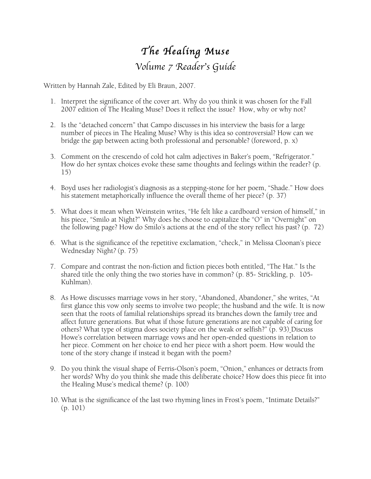## *The Healing Muse Volume 7 Reader*'*s Guide*

Written by Hannah Zale, Edited by Eli Braun, 2007.

- 1. Interpret the significance of the cover art. Why do you think it was chosen for the Fall 2007 edition of The Healing Muse? Does it reflect the issue? How, why or why not?
- 2. Is the "detached concern" that Campo discusses in his interview the basis for a large number of pieces in The Healing Muse? Why is this idea so controversial? How can we bridge the gap between acting both professional and personable? (foreword, p. x)
- 3. Comment on the crescendo of cold hot calm adjectives in Baker's poem, "Refrigerator." How do her syntax choices evoke these same thoughts and feelings within the reader? (p. 15)
- 4. Boyd uses her radiologist's diagnosis as a stepping-stone for her poem, "Shade." How does his statement metaphorically influence the overall theme of her piece? (p. 37)
- 5. What does it mean when Weinstein writes, "He felt like a cardboard version of himself," in his piece, "Smilo at Night?" Why does he choose to capitalize the "O" in "Overnight" on the following page? How do Smilo's actions at the end of the story reflect his past? (p. 72)
- 6. What is the significance of the repetitive exclamation, "check," in Melissa Cloonan's piece Wednesday Night*?* (p. 75)
- 7. Compare and contrast the non-fiction and fiction pieces both entitled, "The Hat." Is the shared title the only thing the two stories have in common? (p. 85- Strickling, p. 105- Kuhlman).
- 8. As Howe discusses marriage vows in her story, "Abandoned, Abandoner," she writes, "At first glance this vow only seems to involve two people; the husband and the wife. It is now seen that the roots of familial relationships spread its branches down the family tree and affect future generations. But what if those future generations are not capable of caring for others? What type of stigma does society place on the weak or selfish?" (p. 93) Discuss Howe's correlation between marriage vows and her open-ended questions in relation to her piece. Comment on her choice to end her piece with a short poem. How would the tone of the story change if instead it began with the poem?
- 9. Do you think the visual shape of Ferris-Olson's poem, "Onion," enhances or detracts from her words? Why do you think she made this deliberate choice? How does this piece fit into the Healing Muse's medical theme? (p. 100)
- 10. What is the significance of the last two rhyming lines in Frost's poem, "Intimate Details?" (p. 101)